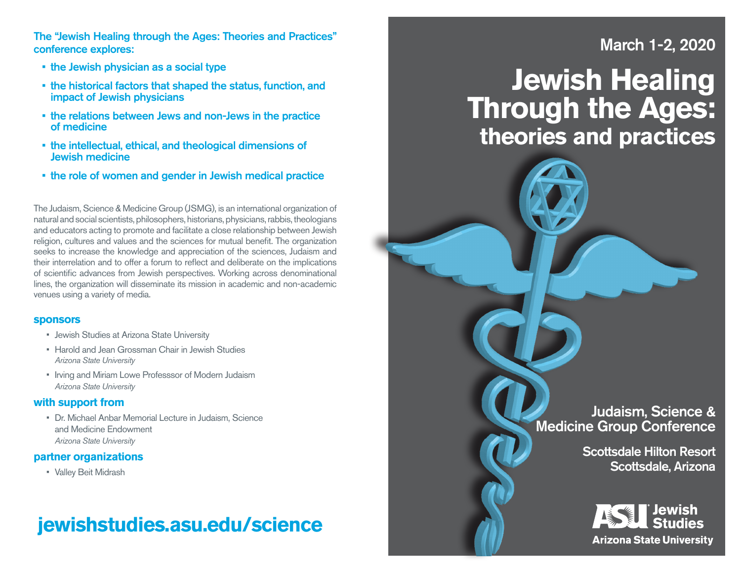The "Jewish Healing through the Ages: Theories and Practices" conference explores:

- the Jewish physician as a social type
- the historical factors that shaped the status, function, and impact of Jewish physicians
- the relations between Jews and non-Jews in the practice of medicine
- the intellectual, ethical, and theological dimensions of Jewish medicine
- the role of women and gender in Jewish medical practice

The Judaism, Science & Medicine Group (JSMG), is an international organization of natural and social scientists, philosophers, historians, physicians, rabbis, theologians and educators acting to promote and facilitate a close relationship between Jewish religion, cultures and values and the sciences for mutual benefit. The organization seeks to increase the knowledge and appreciation of the sciences, Judaism and their interrelation and to offer a forum to reflect and deliberate on the implications of scientific advances from Jewish perspectives. Working across denominational lines, the organization will disseminate its mission in academic and non-academic venues using a variety of media.

#### **sponsors**

- Jewish Studies at Arizona State University
- Harold and Jean Grossman Chair in Jewish Studies *Arizona State University*
- Irving and Miriam Lowe Professsor of Modern Judaism *Arizona State University*

#### **with support from**

• Dr. Michael Anbar Memorial Lecture in Judaism, Science and Medicine Endowment *Arizona State University*

#### **partner organizations**

• Valley Beit Midrash

## **jewishstudies.asu.edu/science**

## March 1-2, 2020

# **Jewish Healing Through the Ages: theories and practices**

Judaism, Science & Medicine Group Conference

> Scottsdale Hilton Resort Scottsdale, Arizona